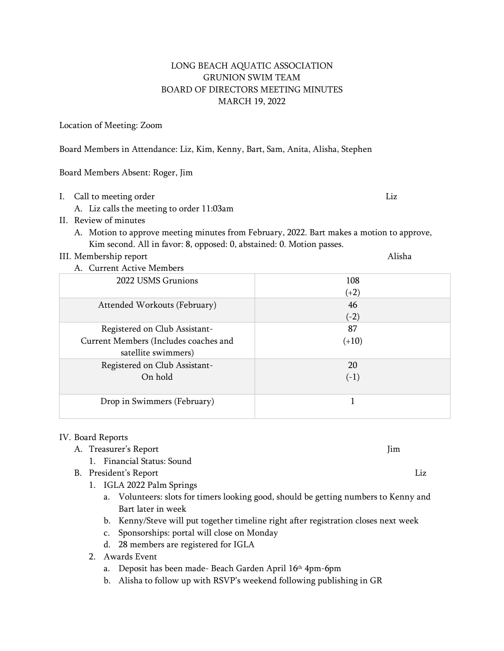## LONG BEACH AQUATIC ASSOCIATION GRUNION SWIM TEAM BOARD OF DIRECTORS MEETING MINUTES MARCH 19, 2022

## Location of Meeting: Zoom

Board Members in Attendance: Liz, Kim, Kenny, Bart, Sam, Anita, Alisha, Stephen

Board Members Absent: Roger, Jim

- I. Call to meeting order Liz
	- A. Liz calls the meeting to order 11:03am
- II. Review of minutes
	- A. Motion to approve meeting minutes from February, 2022. Bart makes a motion to approve, Kim second. All in favor: 8, opposed: 0, abstained: 0. Motion passes.

## III. Membership report Alisha

| A. Current Active Members             |         |  |  |  |
|---------------------------------------|---------|--|--|--|
| 2022 USMS Grunions                    | 108     |  |  |  |
|                                       | $(+2)$  |  |  |  |
| Attended Workouts (February)          | 46      |  |  |  |
|                                       | $(-2)$  |  |  |  |
| Registered on Club Assistant-         | 87      |  |  |  |
| Current Members (Includes coaches and | $(+10)$ |  |  |  |
| satellite swimmers)                   |         |  |  |  |
| Registered on Club Assistant-         | 20      |  |  |  |
| On hold                               | $(-1)$  |  |  |  |
|                                       |         |  |  |  |
| Drop in Swimmers (February)           |         |  |  |  |
|                                       |         |  |  |  |

## IV. Board Reports

- A. Treasurer's Report **Jim** 
	- 1. Financial Status: Sound
- B. President's Report Liz
	- 1. IGLA 2022 Palm Springs
		- a. Volunteers: slots for timers looking good, should be getting numbers to Kenny and Bart later in week
		- b. Kenny/Steve will put together timeline right after registration closes next week
		- c. Sponsorships: portal will close on Monday
		- d. 28 members are registered for IGLA
	- 2. Awards Event
		- a. Deposit has been made- Beach Garden April 16th 4pm-6pm
		- b. Alisha to follow up with RSVP's weekend following publishing in GR